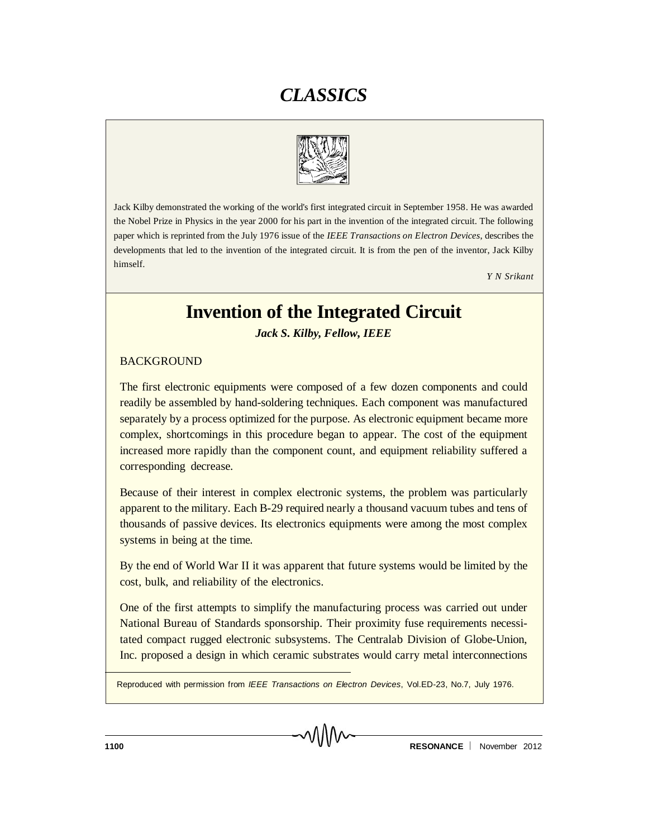

Jack Kilby demonstrated the working of the world's first integrated circuit in September 1958. He was awarded the Nobel Prize in Physics in the year 2000 for his part in the invention of the integrated circuit. The following paper which is reprinted from the July 1976 issue of the *IEEE Transactions on Electron Devices*, describes the developments that led to the invention of the integrated circuit. It is from the pen of the inventor, Jack Kilby himself.

*Y N Srikant*

# **Invention of the Integrated Circuit**

*Jack S. Kilby, Fellow, IEEE*

#### **BACKGROUND**

The first electronic equipments were composed of a few dozen components and could readily be assembled by hand-soldering techniques. Each component was manufactured separately by a process optimized for the purpose. As electronic equipment became more complex, shortcomings in this procedure began to appear. The cost of the equipment increased more rapidly than the component count, and equipment reliability suffered a corresponding decrease.

Because of their interest in complex electronic systems, the problem was particularly apparent to the military. Each B-29 required nearly a thousand vacuum tubes and tens of thousands of passive devices. Its electronics equipments were among the most complex systems in being at the time.

By the end of World War II it was apparent that future systems would be limited by the cost, bulk, and reliability of the electronics.

One of the first attempts to simplify the manufacturing process was carried out under National Bureau of Standards sponsorship. Their proximity fuse requirements necessitated compact rugged electronic subsystems. The Centralab Division of Globe-Union, Inc. proposed a design in which ceramic substrates would carry metal interconnections

Reproduced with permission from *IEEE Transactions on Electron Devices*, Vol.ED-23, No.7, July 1976.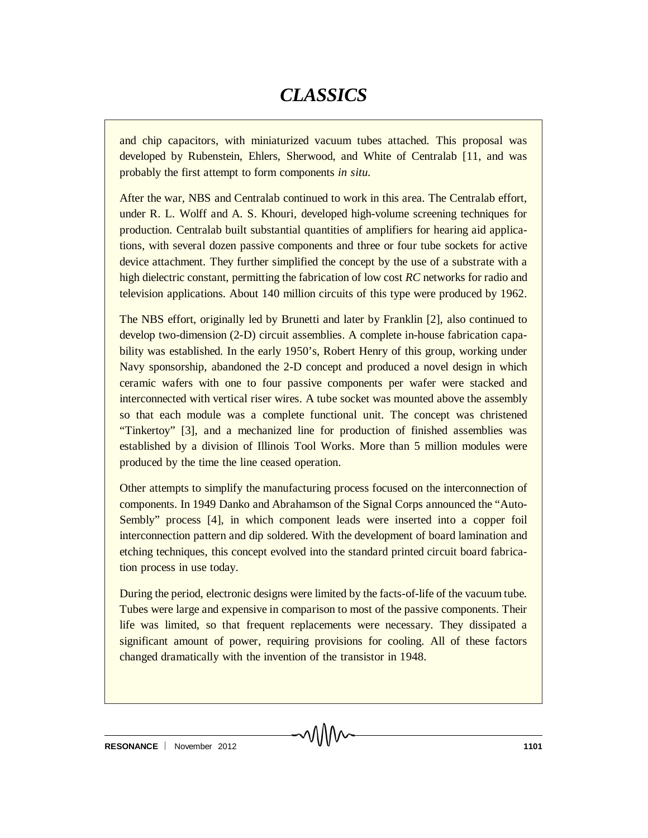and chip capacitors, with miniaturized vacuum tubes attached. This proposal was developed by Rubenstein, Ehlers, Sherwood, and White of Centralab [11, and was probably the first attempt to form components *in situ.*

After the war, NBS and Centralab continued to work in this area. The Centralab effort, under R. L. Wolff and A. S. Khouri, developed high-volume screening techniques for production. Centralab built substantial quantities of amplifiers for hearing aid applications, with several dozen passive components and three or four tube sockets for active device attachment. They further simplified the concept by the use of a substrate with a high dielectric constant, permitting the fabrication of low cost *RC* networks for radio and television applications. About 140 million circuits of this type were produced by 1962.

The NBS effort, originally led by Brunetti and later by Franklin [2], also continued to develop two-dimension (2-D) circuit assemblies. A complete in-house fabrication capability was established. In the early 1950's, Robert Henry of this group, working under Navy sponsorship, abandoned the 2-D concept and produced a novel design in which ceramic wafers with one to four passive components per wafer were stacked and interconnected with vertical riser wires. A tube socket was mounted above the assembly so that each module was a complete functional unit. The concept was christened "Tinkertoy" [3], and a mechanized line for production of finished assemblies was established by a division of Illinois Tool Works. More than 5 million modules were produced by the time the line ceased operation.

Other attempts to simplify the manufacturing process focused on the interconnection of components. In 1949 Danko and Abrahamson of the Signal Corps announced the "Auto-Sembly" process [4], in which component leads were inserted into a copper foil interconnection pattern and dip soldered. With the development of board lamination and etching techniques, this concept evolved into the standard printed circuit board fabrication process in use today.

During the period, electronic designs were limited by the facts-of-life of the vacuum tube. Tubes were large and expensive in comparison to most of the passive components. Their life was limited, so that frequent replacements were necessary. They dissipated a significant amount of power, requiring provisions for cooling. All of these factors changed dramatically with the invention of the transistor in 1948.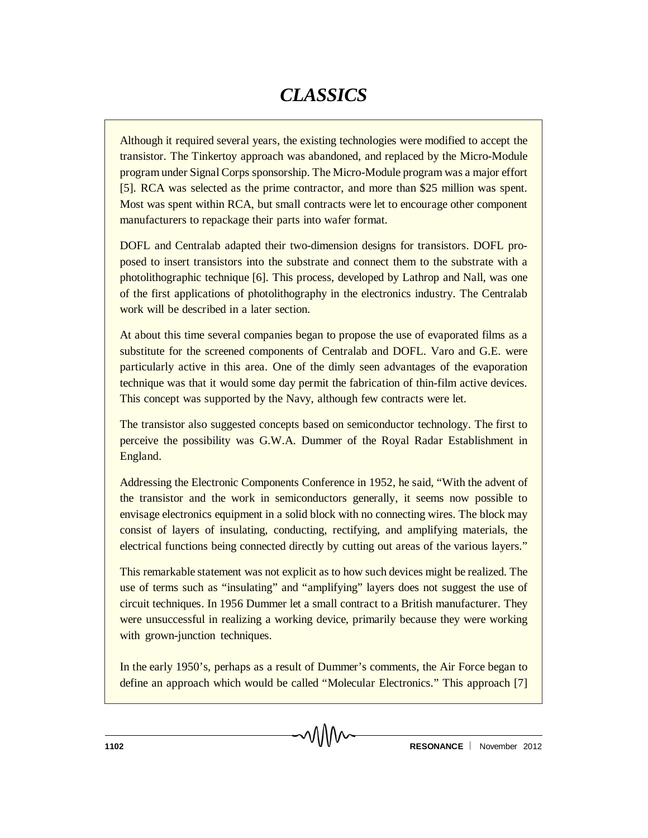Although it required several years, the existing technologies were modified to accept the transistor. The Tinkertoy approach was abandoned, and replaced by the Micro-Module program under Signal Corps sponsorship. The Micro-Module program was a major effort [5]. RCA was selected as the prime contractor, and more than \$25 million was spent. Most was spent within RCA, but small contracts were let to encourage other component manufacturers to repackage their parts into wafer format.

DOFL and Centralab adapted their two-dimension designs for transistors. DOFL proposed to insert transistors into the substrate and connect them to the substrate with a photolithographic technique [6]. This process, developed by Lathrop and Nall, was one of the first applications of photolithography in the electronics industry. The Centralab work will be described in a later section.

At about this time several companies began to propose the use of evaporated films as a substitute for the screened components of Centralab and DOFL. Varo and G.E. were particularly active in this area. One of the dimly seen advantages of the evaporation technique was that it would some day permit the fabrication of thin-film active devices. This concept was supported by the Navy, although few contracts were let.

The transistor also suggested concepts based on semiconductor technology. The first to perceive the possibility was G.W.A. Dummer of the Royal Radar Establishment in England.

Addressing the Electronic Components Conference in 1952, he said, "With the advent of the transistor and the work in semiconductors generally, it seems now possible to envisage electronics equipment in a solid block with no connecting wires. The block may consist of layers of insulating, conducting, rectifying, and amplifying materials, the electrical functions being connected directly by cutting out areas of the various layers."

This remarkable statement was not explicit as to how such devices might be realized. The use of terms such as "insulating" and "amplifying" layers does not suggest the use of circuit techniques. In 1956 Dummer let a small contract to a British manufacturer. They were unsuccessful in realizing a working device, primarily because they were working with grown-junction techniques.

In the early 1950's, perhaps as a result of Dummer's comments, the Air Force began to define an approach which would be called "Molecular Electronics." This approach [7]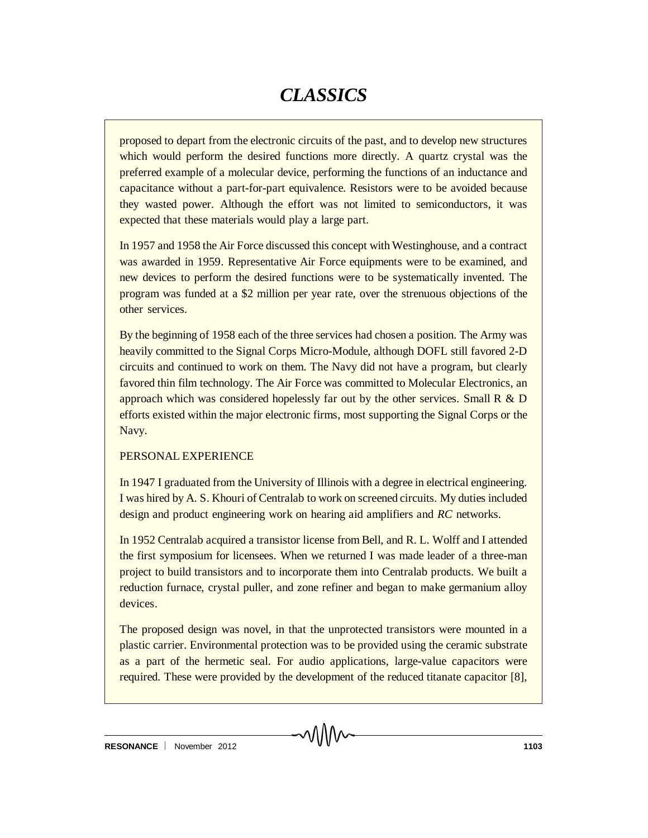proposed to depart from the electronic circuits of the past, and to develop new structures which would perform the desired functions more directly. A quartz crystal was the preferred example of a molecular device, performing the functions of an inductance and capacitance without a part-for-part equivalence. Resistors were to be avoided because they wasted power. Although the effort was not limited to semiconductors, it was expected that these materials would play a large part.

In 1957 and 1958 the Air Force discussed this concept with Westinghouse, and a contract was awarded in 1959. Representative Air Force equipments were to be examined, and new devices to perform the desired functions were to be systematically invented. The program was funded at a \$2 million per year rate, over the strenuous objections of the other services.

By the beginning of 1958 each of the three services had chosen a position. The Army was heavily committed to the Signal Corps Micro-Module, although DOFL still favored 2-D circuits and continued to work on them. The Navy did not have a program, but clearly favored thin film technology. The Air Force was committed to Molecular Electronics, an approach which was considered hopelessly far out by the other services. Small R & D efforts existed within the major electronic firms, most supporting the Signal Corps or the Navy.

### PERSONAL EXPERIENCE

In 1947 I graduated from the University of Illinois with a degree in electrical engineering. I was hired by A. S. Khouri of Centralab to work on screened circuits. My duties included design and product engineering work on hearing aid amplifiers and *RC* networks.

In 1952 Centralab acquired a transistor license from Bell, and R. L. Wolff and I attended the first symposium for licensees. When we returned I was made leader of a three-man project to build transistors and to incorporate them into Centralab products. We built a reduction furnace, crystal puller, and zone refiner and began to make germanium alloy devices.

The proposed design was novel, in that the unprotected transistors were mounted in a plastic carrier. Environmental protection was to be provided using the ceramic substrate as a part of the hermetic seal. For audio applications, large-value capacitors were required. These were provided by the development of the reduced titanate capacitor [8],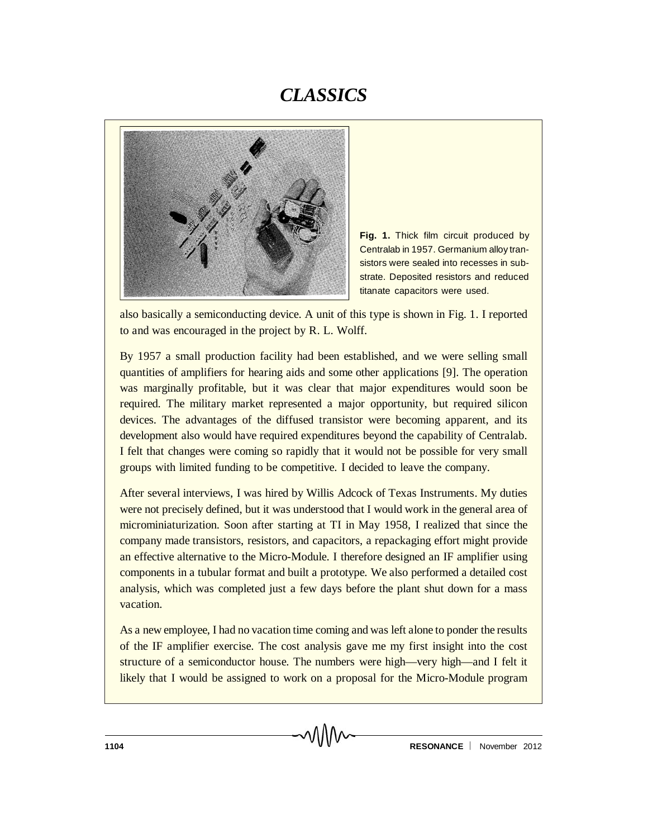

**Fig. 1.** Thick film circuit produced by Centralab in 1957. Germanium alloy transistors were sealed into recesses in substrate. Deposited resistors and reduced titanate capacitors were used.

also basically a semiconducting device. A unit of this type is shown in Fig. 1. I reported to and was encouraged in the project by R. L. Wolff.

By 1957 a small production facility had been established, and we were selling small quantities of amplifiers for hearing aids and some other applications [9]. The operation was marginally profitable, but it was clear that major expenditures would soon be required. The military market represented a major opportunity, but required silicon devices. The advantages of the diffused transistor were becoming apparent, and its development also would have required expenditures beyond the capability of Centralab. I felt that changes were coming so rapidly that it would not be possible for very small groups with limited funding to be competitive. I decided to leave the company.

After several interviews, I was hired by Willis Adcock of Texas Instruments. My duties were not precisely defined, but it was understood that I would work in the general area of microminiaturization. Soon after starting at TI in May 1958, I realized that since the company made transistors, resistors, and capacitors, a repackaging effort might provide an effective alternative to the Micro-Module. I therefore designed an IF amplifier using components in a tubular format and built a prototype. We also performed a detailed cost analysis, which was completed just a few days before the plant shut down for a mass vacation.

As a new employee, I had no vacation time coming and was left alone to ponder the results of the IF amplifier exercise. The cost analysis gave me my first insight into the cost structure of a semiconductor house. The numbers were high—very high—and I felt it likely that I would be assigned to work on a proposal for the Micro-Module program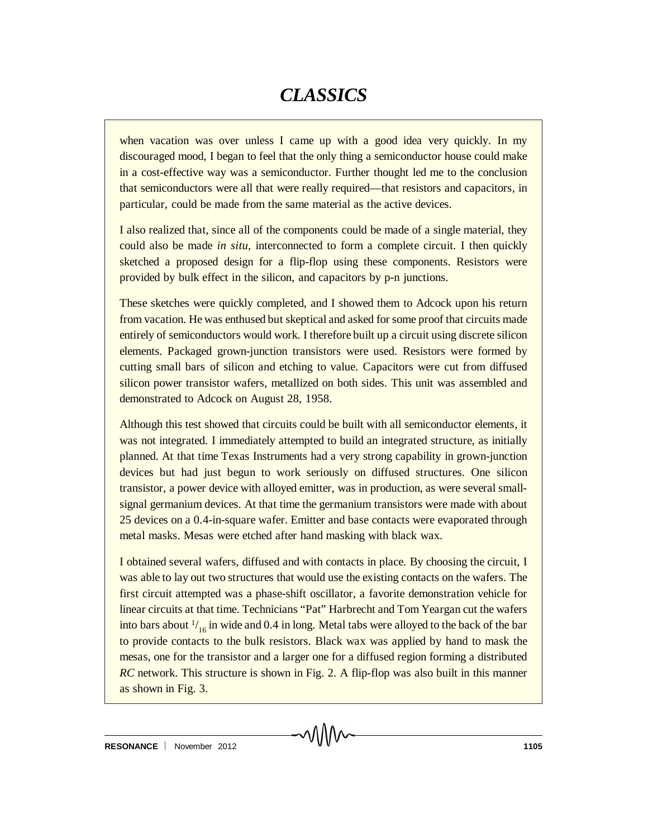when vacation was over unless I came up with a good idea very quickly. In my discouraged mood, I began to feel that the only thing a semiconductor house could make in a cost-effective way was a semiconductor. Further thought led me to the conclusion that semiconductors were all that were really required—that resistors and capacitors, in particular, could be made from the same material as the active devices.

I also realized that, since all of the components could be made of a single material, they could also be made *in situ,* interconnected to form a complete circuit. I then quickly sketched a proposed design for a flip-flop using these components. Resistors were provided by bulk effect in the silicon, and capacitors by p-n junctions.

These sketches were quickly completed, and I showed them to Adcock upon his return from vacation. He was enthused but skeptical and asked for some proof that circuits made entirely of semiconductors would work. I therefore built up a circuit using discrete silicon elements. Packaged grown-junction transistors were used. Resistors were formed by cutting small bars of silicon and etching to value. Capacitors were cut from diffused silicon power transistor wafers, metallized on both sides. This unit was assembled and demonstrated to Adcock on August 28, 1958.

Although this test showed that circuits could be built with all semiconductor elements, it was not integrated. I immediately attempted to build an integrated structure, as initially planned. At that time Texas Instruments had a very strong capability in grown-junction devices but had just begun to work seriously on diffused structures. One silicon transistor, a power device with alloyed emitter, was in production, as were several smallsignal germanium devices. At that time the germanium transistors were made with about 25 devices on a 0.4-in-square wafer. Emitter and base contacts were evaporated through metal masks. Mesas were etched after hand masking with black wax.

I obtained several wafers, diffused and with contacts in place. By choosing the circuit, I was able to lay out two structures that would use the existing contacts on the wafers. The first circuit attempted was a phase-shift oscillator, a favorite demonstration vehicle for linear circuits at that time. Technicians "Pat" Harbrecht and Tom Yeargan cut the wafers into bars about  $\frac{1}{16}$  in wide and 0.4 in long. Metal tabs were alloyed to the back of the bar to provide contacts to the bulk resistors. Black wax was applied by hand to mask the mesas, one for the transistor and a larger one for a diffused region forming a distributed *RC* network. This structure is shown in Fig. 2. A flip-flop was also built in this manner as shown in Fig. 3.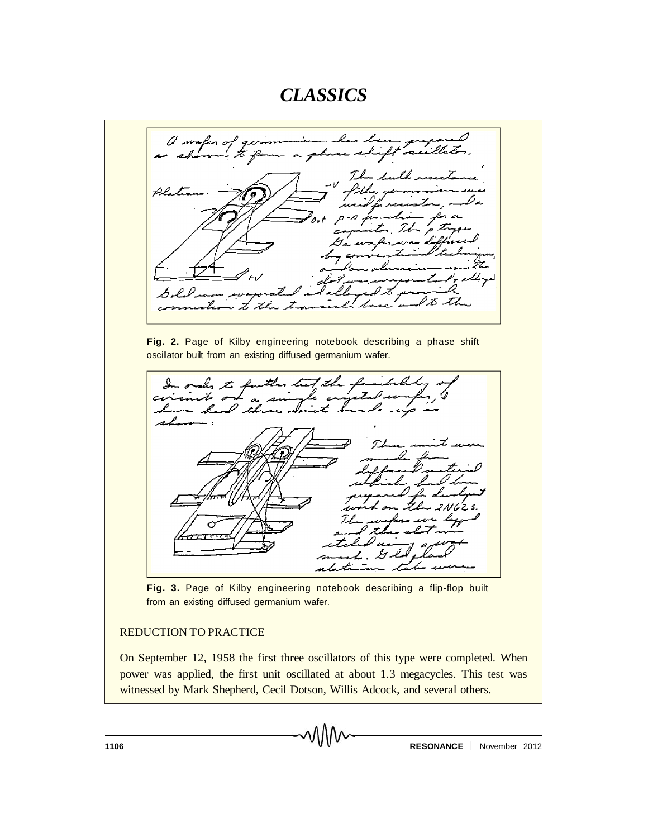



### REDUCTION TO PRACTICE

On September 12, 1958 the first three oscillators of this type were completed. When power was applied, the first unit oscillated at about 1.3 megacycles. This test was witnessed by Mark Shepherd, Cecil Dotson, Willis Adcock, and several others.

MM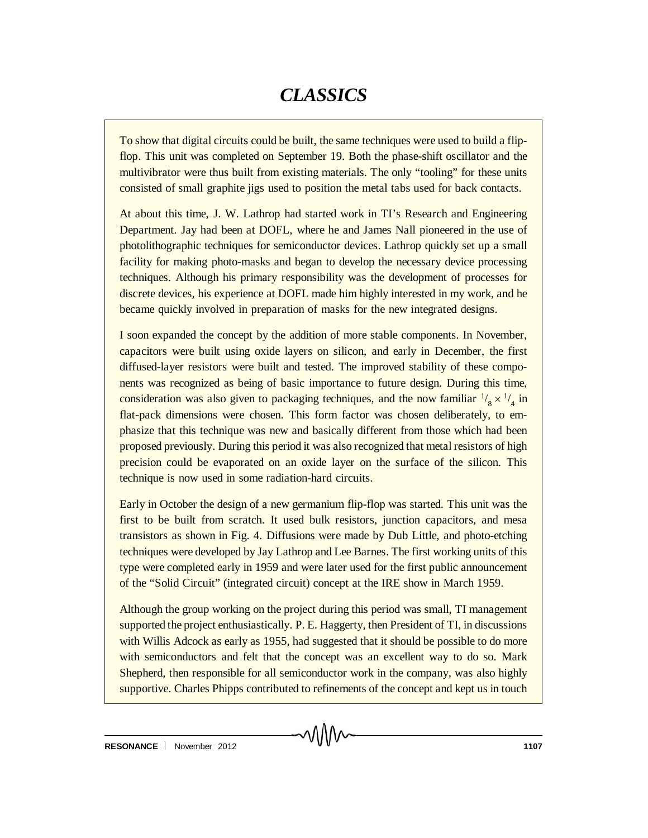To show that digital circuits could be built, the same techniques were used to build a flipflop. This unit was completed on September 19. Both the phase-shift oscillator and the multivibrator were thus built from existing materials. The only "tooling" for these units consisted of small graphite jigs used to position the metal tabs used for back contacts.

At about this time, J. W. Lathrop had started work in TI's Research and Engineering Department. Jay had been at DOFL, where he and James Nall pioneered in the use of photolithographic techniques for semiconductor devices. Lathrop quickly set up a small facility for making photo-masks and began to develop the necessary device processing techniques. Although his primary responsibility was the development of processes for discrete devices, his experience at DOFL made him highly interested in my work, and he became quickly involved in preparation of masks for the new integrated designs.

I soon expanded the concept by the addition of more stable components. In November, capacitors were built using oxide layers on silicon, and early in December, the first diffused-layer resistors were built and tested. The improved stability of these components was recognized as being of basic importance to future design. During this time, consideration was also given to packaging techniques, and the now familiar  $\frac{1}{8} \times \frac{1}{4}$  in flat-pack dimensions were chosen. This form factor was chosen deliberately, to emphasize that this technique was new and basically different from those which had been proposed previously. During this period it was also recognized that metal resistors of high precision could be evaporated on an oxide layer on the surface of the silicon. This technique is now used in some radiation-hard circuits.

Early in October the design of a new germanium flip-flop was started. This unit was the first to be built from scratch. It used bulk resistors, junction capacitors, and mesa transistors as shown in Fig. 4. Diffusions were made by Dub Little, and photo-etching techniques were developed by Jay Lathrop and Lee Barnes. The first working units of this type were completed early in 1959 and were later used for the first public announcement of the "Solid Circuit" (integrated circuit) concept at the IRE show in March 1959.

Although the group working on the project during this period was small, TI management supported the project enthusiastically. P. E. Haggerty, then President of TI, in discussions with Willis Adcock as early as 1955, had suggested that it should be possible to do more with semiconductors and felt that the concept was an excellent way to do so. Mark Shepherd, then responsible for all semiconductor work in the company, was also highly supportive. Charles Phipps contributed to refinements of the concept and kept us in touch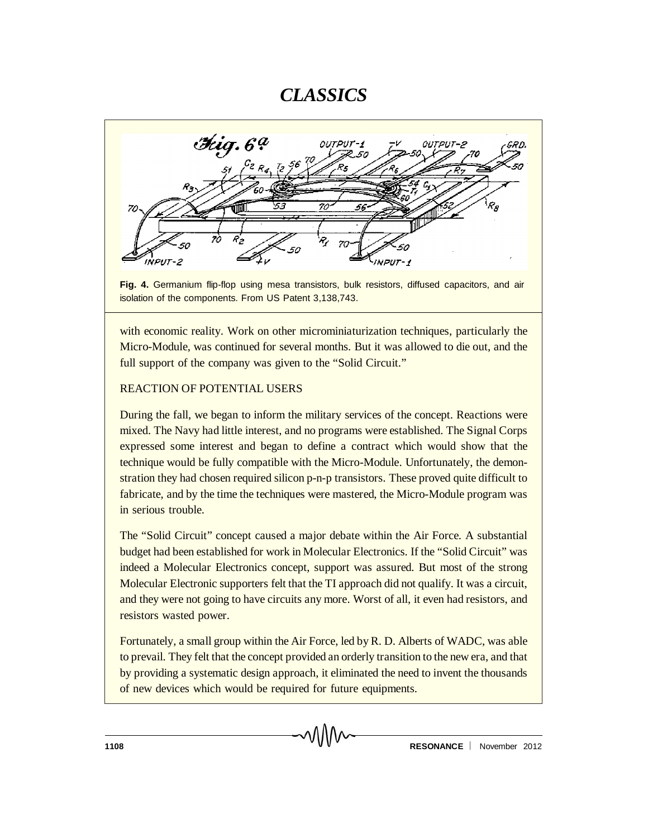

**Fig. 4.** Germanium flip-flop using mesa transistors, bulk resistors, diffused capacitors, and air isolation of the components. From US Patent 3,138,743.

with economic reality. Work on other microminiaturization techniques, particularly the Micro-Module, was continued for several months. But it was allowed to die out, and the full support of the company was given to the "Solid Circuit."

#### REACTION OF POTENTIAL USERS

During the fall, we began to inform the military services of the concept. Reactions were mixed. The Navy had little interest, and no programs were established. The Signal Corps expressed some interest and began to define a contract which would show that the technique would be fully compatible with the Micro-Module. Unfortunately, the demonstration they had chosen required silicon p-n-p transistors. These proved quite difficult to fabricate, and by the time the techniques were mastered, the Micro-Module program was in serious trouble.

The "Solid Circuit" concept caused a major debate within the Air Force. A substantial budget had been established for work in Molecular Electronics. If the "Solid Circuit" was indeed a Molecular Electronics concept, support was assured. But most of the strong Molecular Electronic supporters felt that the TI approach did not qualify. It was a circuit, and they were not going to have circuits any more. Worst of all, it even had resistors, and resistors wasted power.

Fortunately, a small group within the Air Force, led by R. D. Alberts of WADC, was able to prevail. They felt that the concept provided an orderly transition to the new era, and that by providing a systematic design approach, it eliminated the need to invent the thousands of new devices which would be required for future equipments.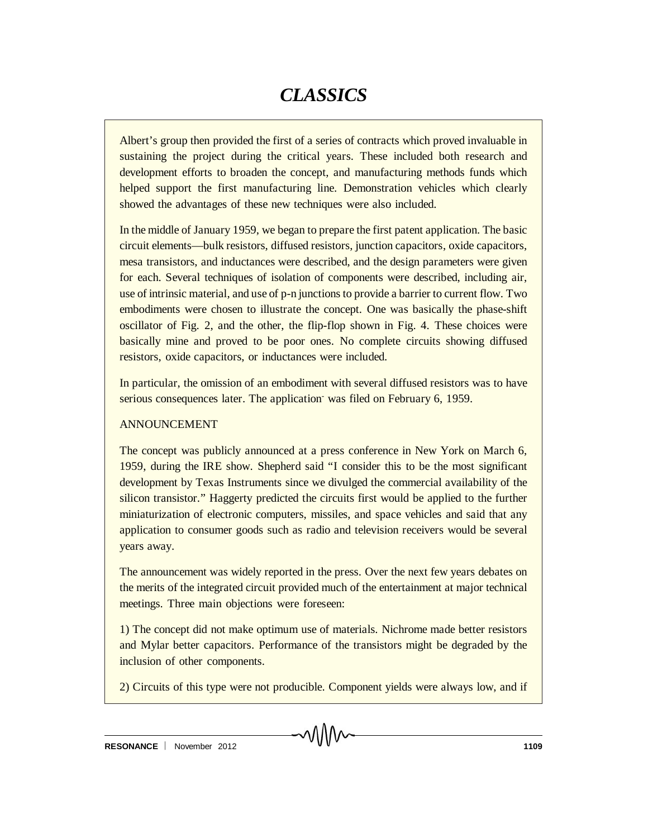Albert's group then provided the first of a series of contracts which proved invaluable in sustaining the project during the critical years. These included both research and development efforts to broaden the concept, and manufacturing methods funds which helped support the first manufacturing line. Demonstration vehicles which clearly showed the advantages of these new techniques were also included.

In the middle of January 1959, we began to prepare the first patent application. The basic circuit elements—bulk resistors, diffused resistors, junction capacitors, oxide capacitors, mesa transistors, and inductances were described, and the design parameters were given for each. Several techniques of isolation of components were described, including air, use of intrinsic material, and use of p-n junctions to provide a barrier to current flow. Two embodiments were chosen to illustrate the concept. One was basically the phase-shift oscillator of Fig. 2, and the other, the flip-flop shown in Fig. 4. These choices were basically mine and proved to be poor ones. No complete circuits showing diffused resistors, oxide capacitors, or inductances were included.

In particular, the omission of an embodiment with several diffused resistors was to have serious consequences later. The application- was filed on February 6, 1959.

#### ANNOUNCEMENT

The concept was publicly announced at a press conference in New York on March 6, 1959, during the IRE show. Shepherd said "I consider this to be the most significant development by Texas Instruments since we divulged the commercial availability of the silicon transistor." Haggerty predicted the circuits first would be applied to the further miniaturization of electronic computers, missiles, and space vehicles and said that any application to consumer goods such as radio and television receivers would be several years away.

The announcement was widely reported in the press. Over the next few years debates on the merits of the integrated circuit provided much of the entertainment at major technical meetings. Three main objections were foreseen:

1) The concept did not make optimum use of materials. Nichrome made better resistors and Mylar better capacitors. Performance of the transistors might be degraded by the inclusion of other components.

2) Circuits of this type were not producible. Component yields were always low, and if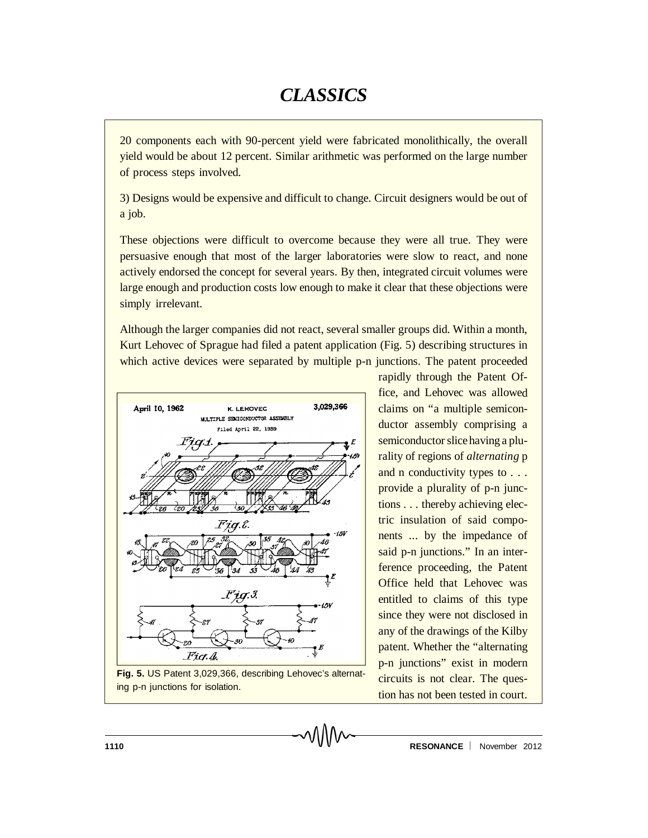20 components each with 90-percent yield were fabricated monolithically, the overall yield would be about 12 percent. Similar arithmetic was performed on the large number of process steps involved.

3) Designs would be expensive and difficult to change. Circuit designers would be out of a job.

These objections were difficult to overcome because they were all true. They were persuasive enough that most of the larger laboratories were slow to react, and none actively endorsed the concept for several years. By then, integrated circuit volumes were large enough and production costs low enough to make it clear that these objections were simply irrelevant.

Although the larger companies did not react, several smaller groups did. Within a month, Kurt Lehovec of Sprague had filed a patent application (Fig. 5) describing structures in which active devices were separated by multiple p-n junctions. The patent proceeded



**Fig. 5.** US Patent 3,029,366, describing Lehovec's alternating p-n junctions for isolation.

rapidly through the Patent Office, and Lehovec was allowed claims on "a multiple semiconductor assembly comprising a semiconductor slice having a plurality of regions of *alternating* p and n conductivity types to . . . provide a plurality of p-n junctions . . . thereby achieving electric insulation of said components ... by the impedance of said p-n junctions." In an interference proceeding, the Patent Office held that Lehovec was entitled to claims of this type since they were not disclosed in any of the drawings of the Kilby patent. Whether the "alternating p-n junctions" exist in modern circuits is not clear. The question has not been tested in court.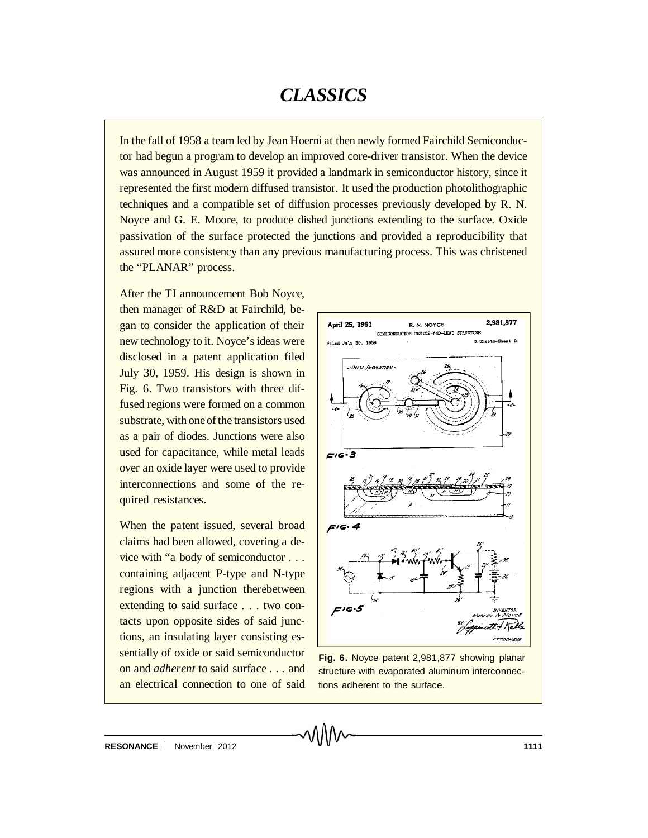In the fall of 1958 a team led by Jean Hoerni at then newly formed Fairchild Semiconductor had begun a program to develop an improved core-driver transistor. When the device was announced in August 1959 it provided a landmark in semiconductor history, since it represented the first modern diffused transistor. It used the production photolithographic techniques and a compatible set of diffusion processes previously developed by R. N. Noyce and G. E. Moore, to produce dished junctions extending to the surface. Oxide passivation of the surface protected the junctions and provided a reproducibility that assured more consistency than any previous manufacturing process. This was christened the "PLANAR" process.

After the TI announcement Bob Noyce, then manager of R&D at Fairchild, began to consider the application of their new technology to it. Noyce's ideas were disclosed in a patent application filed July 30, 1959. His design is shown in Fig. 6. Two transistors with three diffused regions were formed on a common substrate, with one of the transistors used as a pair of diodes. Junctions were also used for capacitance, while metal leads over an oxide layer were used to provide interconnections and some of the required resistances.

When the patent issued, several broad claims had been allowed, covering a device with "a body of semiconductor . . . containing adjacent P-type and N-type regions with a junction therebetween extending to said surface . . . two contacts upon opposite sides of said junctions, an insulating layer consisting essentially of oxide or said semiconductor on and *adherent* to said surface . . . and an electrical connection to one of said



**Fig. 6.** Noyce patent 2,981,877 showing planar structure with evaporated aluminum interconnections adherent to the surface.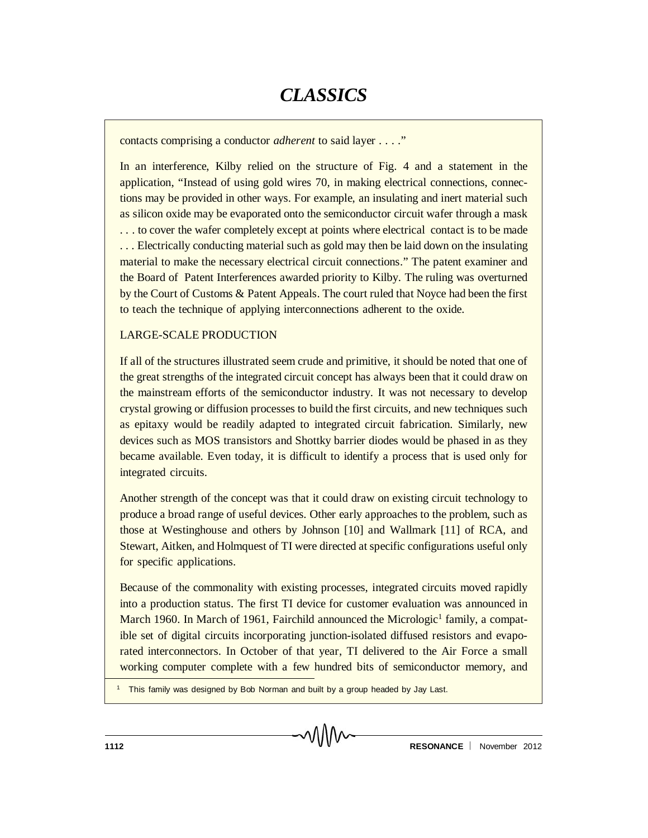### contacts comprising a conductor *adherent* to said layer . . . ."

In an interference, Kilby relied on the structure of Fig. 4 and a statement in the application, "Instead of using gold wires 70, in making electrical connections, connections may be provided in other ways. For example, an insulating and inert material such as silicon oxide may be evaporated onto the semiconductor circuit wafer through a mask . . . to cover the wafer completely except at points where electrical contact is to be made . . . Electrically conducting material such as gold may then be laid down on the insulating material to make the necessary electrical circuit connections." The patent examiner and the Board of Patent Interferences awarded priority to Kilby. The ruling was overturned by the Court of Customs & Patent Appeals. The court ruled that Noyce had been the first to teach the technique of applying interconnections adherent to the oxide.

### LARGE-SCALE PRODUCTION

If all of the structures illustrated seem crude and primitive, it should be noted that one of the great strengths of the integrated circuit concept has always been that it could draw on the mainstream efforts of the semiconductor industry. It was not necessary to develop crystal growing or diffusion processes to build the first circuits, and new techniques such as epitaxy would be readily adapted to integrated circuit fabrication. Similarly, new devices such as MOS transistors and Shottky barrier diodes would be phased in as they became available. Even today, it is difficult to identify a process that is used only for integrated circuits.

Another strength of the concept was that it could draw on existing circuit technology to produce a broad range of useful devices. Other early approaches to the problem, such as those at Westinghouse and others by Johnson [10] and Wallmark [11] of RCA, and Stewart, Aitken, and Holmquest of TI were directed at specific configurations useful only for specific applications.

Because of the commonality with existing processes, integrated circuits moved rapidly into a production status. The first TI device for customer evaluation was announced in March 1960. In March of 1961, Fairchild announced the Micrologic<sup>1</sup> family, a compatible set of digital circuits incorporating junction-isolated diffused resistors and evaporated interconnectors. In October of that year, TI delivered to the Air Force a small working computer complete with a few hundred bits of semiconductor memory, and

<sup>&</sup>lt;sup>1</sup> This family was designed by Bob Norman and built by a group headed by Jay Last.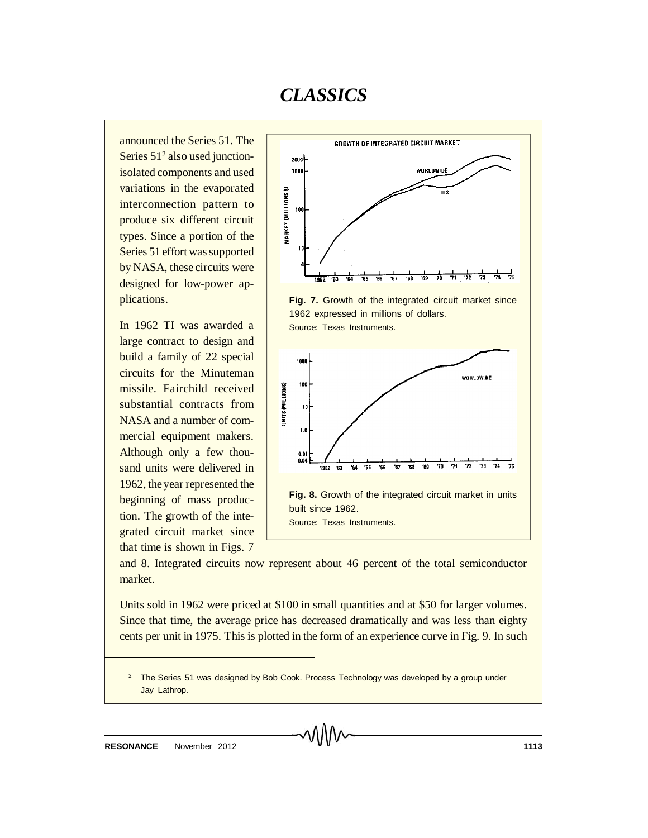announced the Series 51. The Series 51<sup>2</sup> also used junctionisolated components and used variations in the evaporated interconnection pattern to produce six different circuit types. Since a portion of the Series 51 effort was supported by NASA, these circuits were designed for low-power applications.

In 1962 TI was awarded a large contract to design and build a family of 22 special circuits for the Minuteman missile. Fairchild received substantial contracts from NASA and a number of commercial equipment makers. Although only a few thousand units were delivered in 1962, the year represented the beginning of mass production. The growth of the integrated circuit market since that time is shown in Figs. 7



and 8. Integrated circuits now represent about 46 percent of the total semiconductor market.

Units sold in 1962 were priced at \$100 in small quantities and at \$50 for larger volumes. Since that time, the average price has decreased dramatically and was less than eighty cents per unit in 1975. This is plotted in the form of an experience curve in Fig. 9. In such

<sup>2</sup> The Series 51 was designed by Bob Cook. Process Technology was developed by a group under Jay Lathrop.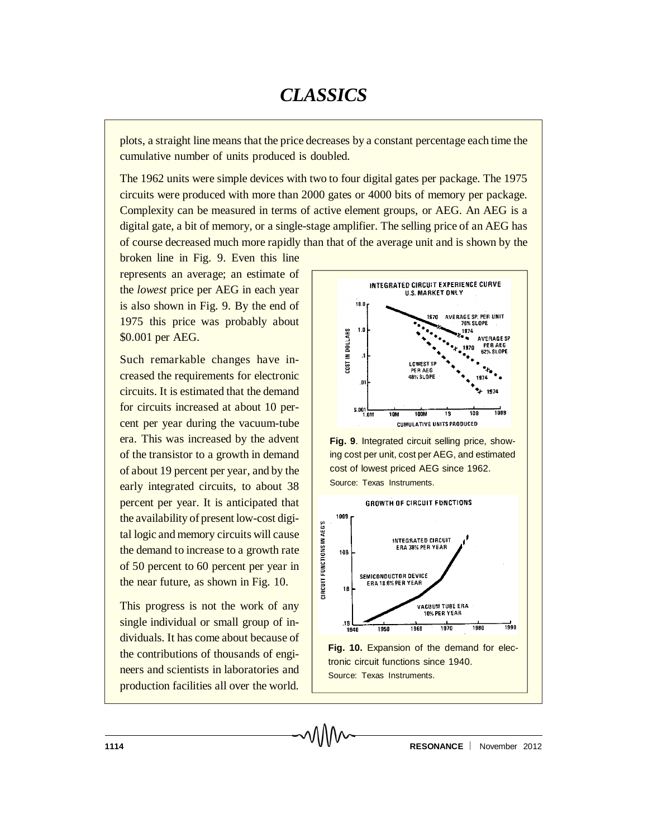plots, a straight line means that the price decreases by a constant percentage each time the cumulative number of units produced is doubled.

The 1962 units were simple devices with two to four digital gates per package. The 1975 circuits were produced with more than 2000 gates or 4000 bits of memory per package. Complexity can be measured in terms of active element groups, or AEG. An AEG is a digital gate, a bit of memory, or a single-stage amplifier. The selling price of an AEG has of course decreased much more rapidly than that of the average unit and is shown by the

broken line in Fig. 9. Even this line represents an average; an estimate of the *lowest* price per AEG in each year is also shown in Fig. 9. By the end of 1975 this price was probably about \$0.001 per AEG.

Such remarkable changes have increased the requirements for electronic circuits. It is estimated that the demand for circuits increased at about 10 percent per year during the vacuum-tube era. This was increased by the advent of the transistor to a growth in demand of about 19 percent per year, and by the early integrated circuits, to about 38 percent per year. It is anticipated that the availability of present low-cost digital logic and memory circuits will cause the demand to increase to a growth rate of 50 percent to 60 percent per year in the near future, as shown in Fig. 10.

This progress is not the work of any single individual or small group of individuals. It has come about because of the contributions of thousands of engineers and scientists in laboratories and production facilities all over the world.